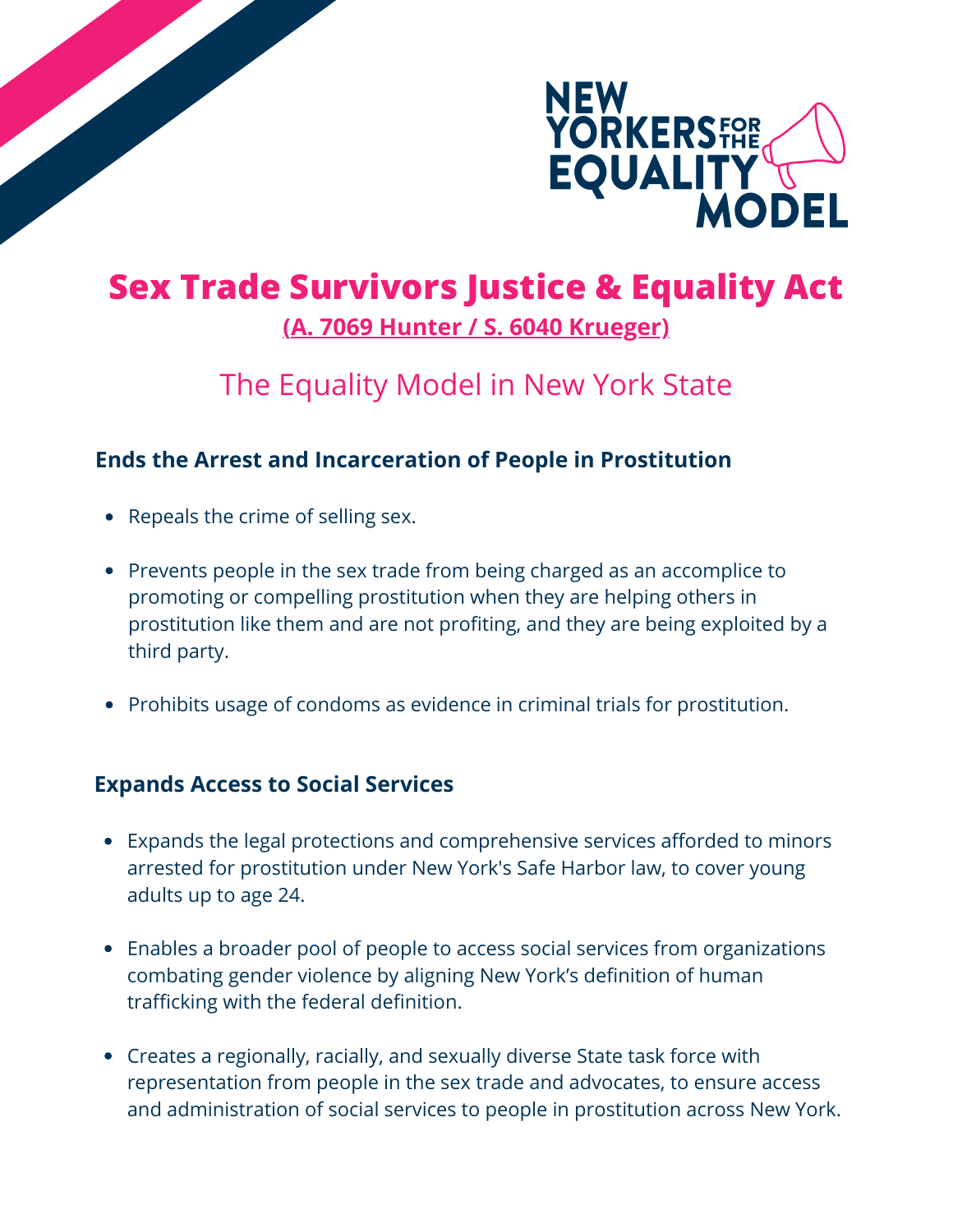

# **Sex Trade Survivors Justice & Equality Act [\(A. 7069 Hunter / S. 6040 Krueger\)](https://www.nysenate.gov/legislation/bills/2021/S6040)**

# The Equality Model in New York State

### **Ends the Arrest and Incarceration of People in Prostitution**

- Repeals the crime of selling sex.
- Prevents people in the sex trade from being charged as an accomplice to promoting or compelling prostitution when they are helping others in prostitution like them and are not profiting, and they are being exploited by a third party.
- Prohibits usage of condoms as evidence in criminal trials for prostitution.

#### **Expands Access to Social Services**

- Expands the legal protections and comprehensive services afforded to minors arrested for prostitution under New York's Safe Harbor law, to cover young adults up to age 24.
- Enables a broader pool of people to access social services from organizations combating gender violence by aligning New York's definition of human trafficking with the federal definition.
- Creates a regionally, racially, and sexually diverse State task force with representation from people in the sex trade and advocates, to ensure access and administration of social services to people in prostitution across New York.